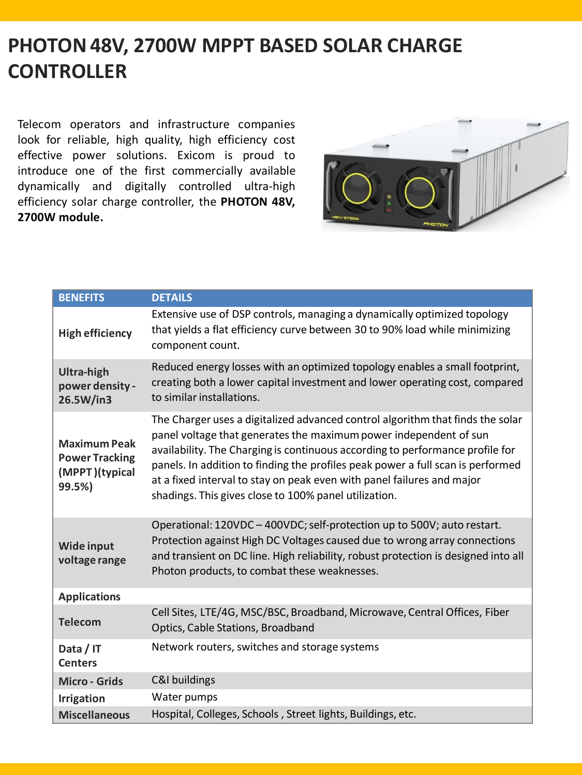## **PHOTON 48V, 2700W MPPT BASED SOLAR CHARGE CONTROLLER**

Telecom operators and infrastructure companies look for reliable, high quality, high efficiency cost effective power solutions. Exicom is proud to introduce one of the first commercially available dynamically and digitally controlled ultra-high efficiency solar charge controller, the **PHOTON 48V, 2700W module.**



| <b>BENEFITS</b>                                                          | <b>DETAILS</b>                                                                                                                                                                                                                                                                                                                                                                                                                                             |
|--------------------------------------------------------------------------|------------------------------------------------------------------------------------------------------------------------------------------------------------------------------------------------------------------------------------------------------------------------------------------------------------------------------------------------------------------------------------------------------------------------------------------------------------|
| <b>High efficiency</b>                                                   | Extensive use of DSP controls, managing a dynamically optimized topology<br>that yields a flat efficiency curve between 30 to 90% load while minimizing<br>component count.                                                                                                                                                                                                                                                                                |
| <b>Ultra-high</b><br>power density -<br>26.5W/in3                        | Reduced energy losses with an optimized topology enables a small footprint,<br>creating both a lower capital investment and lower operating cost, compared<br>to similar installations.                                                                                                                                                                                                                                                                    |
| <b>Maximum Peak</b><br><b>Power Tracking</b><br>(MPPT)(typical<br>99.5%) | The Charger uses a digitalized advanced control algorithm that finds the solar<br>panel voltage that generates the maximum power independent of sun<br>availability. The Charging is continuous according to performance profile for<br>panels. In addition to finding the profiles peak power a full scan is performed<br>at a fixed interval to stay on peak even with panel failures and major<br>shadings. This gives close to 100% panel utilization. |
| <b>Wide input</b><br>voltage range                                       | Operational: 120VDC - 400VDC; self-protection up to 500V; auto restart.<br>Protection against High DC Voltages caused due to wrong array connections<br>and transient on DC line. High reliability, robust protection is designed into all<br>Photon products, to combat these weaknesses.                                                                                                                                                                 |
| <b>Applications</b>                                                      |                                                                                                                                                                                                                                                                                                                                                                                                                                                            |
| <b>Telecom</b>                                                           | Cell Sites, LTE/4G, MSC/BSC, Broadband, Microwave, Central Offices, Fiber<br>Optics, Cable Stations, Broadband                                                                                                                                                                                                                                                                                                                                             |
| Data / IT<br><b>Centers</b>                                              | Network routers, switches and storage systems                                                                                                                                                                                                                                                                                                                                                                                                              |
| <b>Micro - Grids</b>                                                     | C&I buildings                                                                                                                                                                                                                                                                                                                                                                                                                                              |
| <b>Irrigation</b>                                                        | Water pumps                                                                                                                                                                                                                                                                                                                                                                                                                                                |
| <b>Miscellaneous</b>                                                     | Hospital, Colleges, Schools, Street lights, Buildings, etc.                                                                                                                                                                                                                                                                                                                                                                                                |